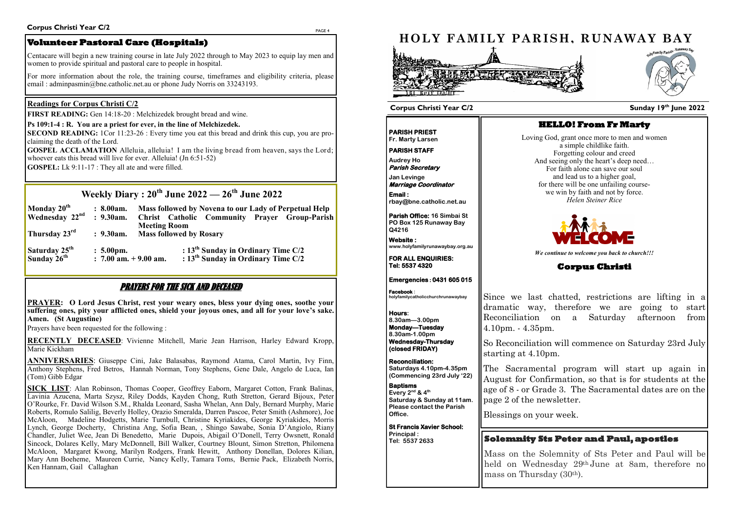PAGE 4







# **Weekly Diary : 20th June 2022 — 26th June 2022**

| Monday 20 <sup>th</sup><br><b>Wednesday</b> 22 <sup>nd</sup> | : 8.00am.<br>$: 9.30$ am.                       | Mass followed by Novena to our Lady of Perpetual Help<br>Christ Catholic Community Prayer Group-Parish<br><b>Meeting Room</b> |
|--------------------------------------------------------------|-------------------------------------------------|-------------------------------------------------------------------------------------------------------------------------------|
| Thursday 23rd                                                | $: 9.30$ am.                                    | <b>Mass followed by Rosary</b>                                                                                                |
| Saturday 25 <sup>th</sup><br>Sunday 26 <sup>th</sup>         | $: 5.00 \text{pm}.$<br>$: 7.00$ am. $+9.00$ am. | : $13th$ Sunday in Ordinary Time C/2<br>: $13th$ Sunday in Ordinary Time C/2                                                  |

## PRAYERS FOR THE SICK AND DECEASED

**PRAYER: O Lord Jesus Christ, rest your weary ones, bless your dying ones, soothe your suffering ones, pity your afflicted ones, shield your joyous ones, and all for your love's sake. Amen. (St Augustine)** 

Prayers have been requested for the following :

**RECENTLY DECEASED**: Vivienne Mitchell, Marie Jean Harrison, Harley Edward Kropp, Marie Kickham

**ANNIVERSARIES**: Giuseppe Cini, Jake Balasabas, Raymond Atama, Carol Martin, Ivy Finn, Anthony Stephens, Fred Betros, Hannah Norman, Tony Stephens, Gene Dale, Angelo de Luca, Ian (Tom) Gibb Edgar

**SECOND READING:** 1 Cor 11:23-26 : Every time you eat this bread and drink this cup, you are proclaiming the death of the Lord.

**GOSPEL ACCLAMATION** Alleluia, alleluia! I am the living bread from heaven, says the Lord; whoever eats this bread will live for ever. Alleluia! (Jn 6:51-52)

For more information about the role, the training course, timeframes and eligibility criteria, please email: adminpasmin@bne.catholic.net.au or phone Judy Norris on 33243193.

**SICK LIST**: Alan Robinson, Thomas Cooper, Geoffrey Eaborn, Margaret Cotton, Frank Balinas, Lavinia Azucena, Marta Szysz, Riley Dodds, Kayden Chong, Ruth Stretton, Gerard Bijoux, Peter O'Rourke, Fr. David Wilson S.M., Rhalda Leonard, Sasha Whelan, Ann Daly, Bernard Murphy, Marie Roberts, Romulo Salilig, Beverly Holley, Orazio Smeralda, Darren Pascoe, Peter Smith (Ashmore), Joe McAloon, Madeline Hodgetts, Marie Turnbull, Christine Kyriakides, George Kyriakides, Morris Lynch, George Docherty, Christina Ang, Sofia Bean, , Shingo Sawabe, Sonia D'Angiolo, Riany Chandler, Juliet Wee, Jean Di Benedetto, Marie Dupois, Abigail O'Donell, Terry Owsnett, Ronald Sincock, Dolares Kelly, Mary McDonnell, Bill Walker, Courtney Blount, Simon Stretton, Philomena McAloon, Margaret Kwong, Marilyn Rodgers, Frank Hewitt, Anthony Donellan, Dolores Kilian, Mary Ann Boeheme, Maureen Currie, Nancy Kelly, Tamara Toms, Bernie Pack, Elizabeth Norris, Ken Hannam, Gail Callaghan

## **Readings for Corpus Christi C/2**

**FIRST READING:** Gen 14:18-20 : Melchizedek brought bread and wine.

### **Ps 109:1-4 : R. You are a priest for ever, in the line of Melchizedek.**

**GOSPEL:** Lk 9:11-17 : They all ate and were filled.

## **Corpus Christi Year C/2**

**Volunteer Pastoral Care (Hospitals)** 

Centacare will begin a new training course in late July 2022 through to May 2023 to equip lay men and women to provide spiritual and pastoral care to people in hospital.

## **Sunday 19 th June 2022**



**PARISH PRIEST Fr. Marty Larsen**

**PARISH STAFF** 

**Audrey Ho Parish Secretary** 

**Marriage Coordinator Email :** 

**Parish Office: 16 Simbai St PO Box 125 Runaway Bay Q4216**

**Website : www.holyfamilyrunawaybay.org.au** 

**FOR ALL ENQUIRIES: Tel: 5537 4320** 

**Emergencies : 0431 605 015** 

# **HOLY FAMILY PARISH, RUNAWAY BAY 大麻或人类在产生的变形中 HELLO! From Fr Marty**  Loving God, grant once more to men and women a simple childlike faith. Forgetting colour and creed And seeing only the heart's deep need… For faith alone can save our soul and lead us to a higher goal, **Jan Levinge**  for there will be one unfailing coursewe win by faith and not by force. *Helen Steiner Rice* **rbay@bne.catholic.net.au** *We continue to welcome you back to church!!!* **Corpus Christi**  Since we last chatted, restrictions are lifting in a dramatic way, therefore we are going to start Reconciliation on a Saturday afternoon from 4.10pm. - 4.35pm. So Reconciliation will commence on Saturday 23rd July **(closed FRIDAY)**  starting at 4.10pm. The Sacramental program will start up again in August for Confirmation, so that is for students at the age of 8 - or Grade 3. The Sacramental dates are on the page 2 of the newsletter. Blessings on your week. **St Francis Xavier School: Solemnity Sts Peter and Paul, apostles Tel: 5537 2633**

**Facebook : holyfamilycatholicchurchrunawaybay**

**Hours: 8.30am—3.00pm Monday—Tuesday 8.30am-1.00pm Wednesday-Thursday** 

**Reconciliation: Saturdays 4.10pm-4.35pm (Commencing 23rd July '22)**

**Baptisms Every 2nd & 4th Saturday & Sunday at 11am. Please contact the Parish Office.**

**Principal :** 

## **Corpus Christi Year C/2**

Mass on the Solemnity of Sts Peter and Paul will be held on Wednesday 29<sup>th</sup> June at 8am, therefore no mass on Thursday (30th).